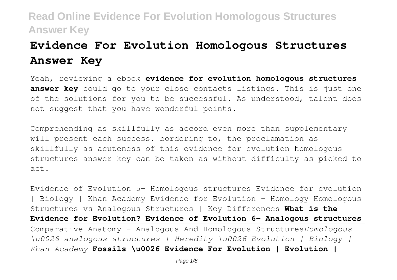# **Evidence For Evolution Homologous Structures Answer Key**

Yeah, reviewing a ebook **evidence for evolution homologous structures answer key** could go to your close contacts listings. This is just one of the solutions for you to be successful. As understood, talent does not suggest that you have wonderful points.

Comprehending as skillfully as accord even more than supplementary will present each success. bordering to, the proclamation as skillfully as acuteness of this evidence for evolution homologous structures answer key can be taken as without difficulty as picked to act.

Evidence of Evolution 5- Homologous structures Evidence for evolution | Biology | Khan Academy Evidence for Evolution - Homology Homologous Structures vs Analogous Structures | Key Differences **What is the Evidence for Evolution? Evidence of Evolution 6- Analogous structures** Comparative Anatomy - Analogous And Homologous Structures*Homologous \u0026 analogous structures | Heredity \u0026 Evolution | Biology | Khan Academy* **Fossils \u0026 Evidence For Evolution | Evolution |**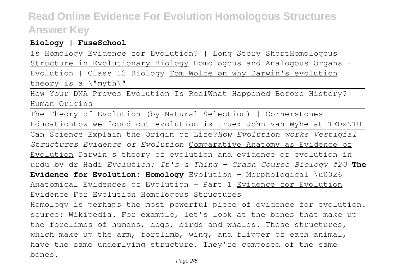#### **Biology | FuseSchool**

Is Homology Evidence for Evolution? | Long Story ShortHomologous Structure in Evolutionary Biology Homologous and Analogous Organs - Evolution | Class 12 Biology Tom Wolfe on why Darwin's evolution theory is a \"myth\"

How Your DNA Proves Evolution Is RealWhat Happened Human Origins

The Theory of Evolution (by Natural Selection) | Cornerstones EducationHow we found out evolution is true: John van Wyhe at TEDxNTU Can Science Explain the Origin of Life?*How Evolution works Vestigial Structures Evidence of Evolution* Comparative Anatomy as Evidence of Evolution Darwin s theory of evolution and evidence of evolution in urdu by dr Hadi *Evolution: It's a Thing - Crash Course Biology #20* **The Evidence for Evolution: Homology** Evolution - Morphological \u0026 Anatomical Evidences of Evolution - Part 1 Evidence for Evolution Evidence For Evolution Homologous Structures Homology is perhaps the most powerful piece of evidence for evolution. source: Wikipedia. For example, let's look at the bones that make up the forelimbs of humans, dogs, birds and whales. These structures, which make up the arm, forelimb, wing, and flipper of each animal, have the same underlying structure. They're composed of the same bones.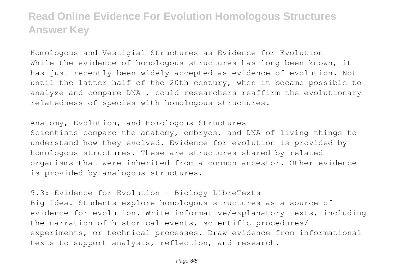Homologous and Vestigial Structures as Evidence for Evolution While the evidence of homologous structures has long been known, it has just recently been widely accepted as evidence of evolution. Not until the latter half of the 20th century, when it became possible to analyze and compare DNA , could researchers reaffirm the evolutionary relatedness of species with homologous structures.

Anatomy, Evolution, and Homologous Structures Scientists compare the anatomy, embryos, and DNA of living things to understand how they evolved. Evidence for evolution is provided by homologous structures. These are structures shared by related organisms that were inherited from a common ancestor. Other evidence is provided by analogous structures.

9.3: Evidence for Evolution - Biology LibreTexts Big Idea. Students explore homologous structures as a source of evidence for evolution. Write informative/explanatory texts, including the narration of historical events, scientific procedures/ experiments, or technical processes. Draw evidence from informational texts to support analysis, reflection, and research.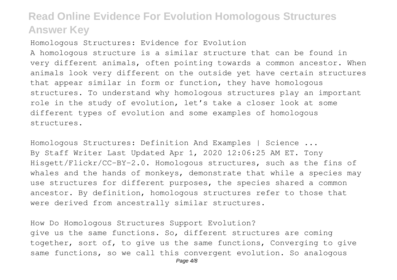Homologous Structures: Evidence for Evolution A homologous structure is a similar structure that can be found in very different animals, often pointing towards a common ancestor. When animals look very different on the outside yet have certain structures that appear similar in form or function, they have homologous structures. To understand why homologous structures play an important role in the study of evolution, let's take a closer look at some different types of evolution and some examples of homologous structures.

Homologous Structures: Definition And Examples | Science ... By Staff Writer Last Updated Apr 1, 2020 12:06:25 AM ET. Tony Hisgett/Flickr/CC-BY-2.0. Homologous structures, such as the fins of whales and the hands of monkeys, demonstrate that while a species may use structures for different purposes, the species shared a common ancestor. By definition, homologous structures refer to those that were derived from ancestrally similar structures.

How Do Homologous Structures Support Evolution? give us the same functions. So, different structures are coming together, sort of, to give us the same functions, Converging to give same functions, so we call this convergent evolution. So analogous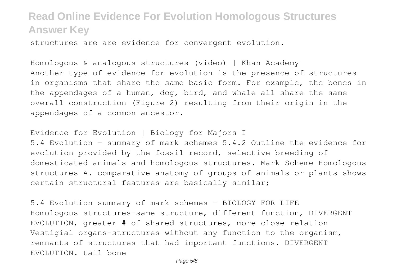structures are are evidence for convergent evolution.

Homologous & analogous structures (video) | Khan Academy Another type of evidence for evolution is the presence of structures in organisms that share the same basic form. For example, the bones in the appendages of a human, dog, bird, and whale all share the same overall construction (Figure 2) resulting from their origin in the appendages of a common ancestor.

Evidence for Evolution | Biology for Majors I 5.4 Evolution – summary of mark schemes 5.4.2 Outline the evidence for evolution provided by the fossil record, selective breeding of domesticated animals and homologous structures. Mark Scheme Homologous structures A. comparative anatomy of groups of animals or plants shows certain structural features are basically similar;

5.4 Evolution summary of mark schemes - BIOLOGY FOR LIFE Homologous structures-same structure, different function, DIVERGENT EVOLUTION, greater # of shared structures, more close relation Vestigial organs-structures without any function to the organism, remnants of structures that had important functions. DIVERGENT EVOLUTION. tail bone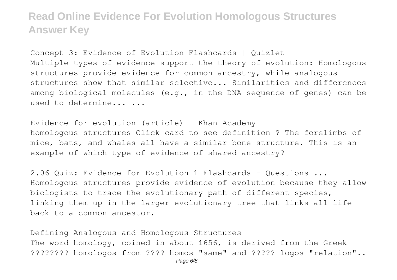Concept 3: Evidence of Evolution Flashcards | Quizlet Multiple types of evidence support the theory of evolution: Homologous structures provide evidence for common ancestry, while analogous structures show that similar selective... Similarities and differences among biological molecules (e.g., in the DNA sequence of genes) can be used to determine... ...

Evidence for evolution (article) | Khan Academy homologous structures Click card to see definition ? The forelimbs of mice, bats, and whales all have a similar bone structure. This is an example of which type of evidence of shared ancestry?

2.06 Quiz: Evidence for Evolution 1 Flashcards - Questions ... Homologous structures provide evidence of evolution because they allow biologists to trace the evolutionary path of different species, linking them up in the larger evolutionary tree that links all life back to a common ancestor.

Defining Analogous and Homologous Structures The word homology, coined in about 1656, is derived from the Greek ???????? homologos from ???? homos "same" and ????? logos "relation"..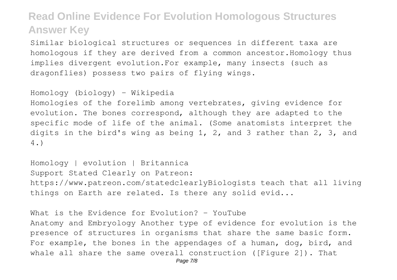Similar biological structures or sequences in different taxa are homologous if they are derived from a common ancestor.Homology thus implies divergent evolution.For example, many insects (such as dragonflies) possess two pairs of flying wings.

Homology (biology) - Wikipedia

Homologies of the forelimb among vertebrates, giving evidence for evolution. The bones correspond, although they are adapted to the specific mode of life of the animal. (Some anatomists interpret the digits in the bird's wing as being 1, 2, and 3 rather than 2, 3, and 4.)

Homology | evolution | Britannica Support Stated Clearly on Patreon: https://www.patreon.com/statedclearlyBiologists teach that all living things on Earth are related. Is there any solid evid...

What is the Evidence for Evolution? - YouTube Anatomy and Embryology Another type of evidence for evolution is the presence of structures in organisms that share the same basic form. For example, the bones in the appendages of a human, dog, bird, and whale all share the same overall construction ([Figure 2]). That